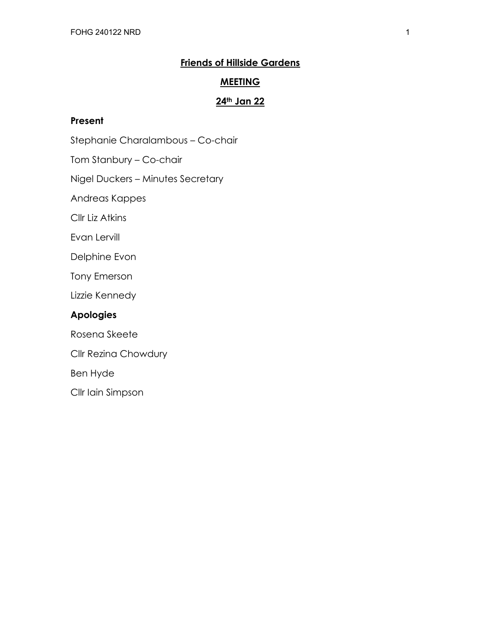# **Friends of Hillside Gardens**

#### **MEETING**

# **24th Jan 22**

#### **Present**

Stephanie Charalambous – Co-chair

Tom Stanbury – Co-chair

Nigel Duckers – Minutes Secretary

Andreas Kappes

Cllr Liz Atkins

Evan Lervill

Delphine Evon

Tony Emerson

Lizzie Kennedy

### **Apologies**

Rosena Skeete

Cllr Rezina Chowdury

Ben Hyde

Cllr Iain Simpson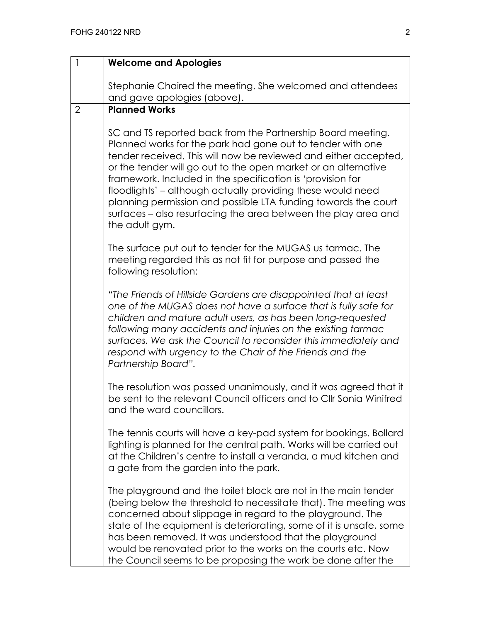| 1              | <b>Welcome and Apologies</b>                                                                                                                                                                                                                                                                                                                                                                                                                                                                                                                      |
|----------------|---------------------------------------------------------------------------------------------------------------------------------------------------------------------------------------------------------------------------------------------------------------------------------------------------------------------------------------------------------------------------------------------------------------------------------------------------------------------------------------------------------------------------------------------------|
|                | Stephanie Chaired the meeting. She welcomed and attendees<br>and gave apologies (above).                                                                                                                                                                                                                                                                                                                                                                                                                                                          |
| $\overline{2}$ | <b>Planned Works</b>                                                                                                                                                                                                                                                                                                                                                                                                                                                                                                                              |
|                | SC and TS reported back from the Partnership Board meeting.<br>Planned works for the park had gone out to tender with one<br>tender received. This will now be reviewed and either accepted,<br>or the tender will go out to the open market or an alternative<br>framework. Included in the specification is 'provision for<br>floodlights' - although actually providing these would need<br>planning permission and possible LTA funding towards the court<br>surfaces – also resurfacing the area between the play area and<br>the adult gym. |
|                | The surface put out to tender for the MUGAS us tarmac. The<br>meeting regarded this as not fit for purpose and passed the<br>following resolution:                                                                                                                                                                                                                                                                                                                                                                                                |
|                | "The Friends of Hillside Gardens are disappointed that at least<br>one of the MUGAS does not have a surface that is fully safe for<br>children and mature adult users, as has been long-requested<br>following many accidents and injuries on the existing tarmac<br>surfaces. We ask the Council to reconsider this immediately and<br>respond with urgency to the Chair of the Friends and the<br>Partnership Board".                                                                                                                           |
|                | The resolution was passed unanimously, and it was agreed that it<br>be sent to the relevant Council officers and to CIIr Sonia Winifred<br>and the ward councillors.                                                                                                                                                                                                                                                                                                                                                                              |
|                | The tennis courts will have a key-pad system for bookings. Bollard<br>lighting is planned for the central path. Works will be carried out<br>at the Children's centre to install a veranda, a mud kitchen and<br>a gate from the garden into the park.                                                                                                                                                                                                                                                                                            |
|                | The playground and the toilet block are not in the main tender<br>(being below the threshold to necessitate that). The meeting was<br>concerned about slippage in regard to the playground. The<br>state of the equipment is deteriorating, some of it is unsafe, some<br>has been removed. It was understood that the playground<br>would be renovated prior to the works on the courts etc. Now<br>the Council seems to be proposing the work be done after the                                                                                 |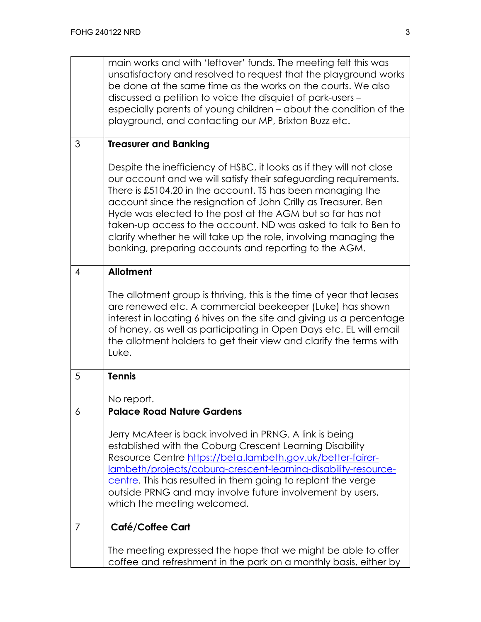|   | main works and with 'leftover' funds. The meeting felt this was<br>unsatisfactory and resolved to request that the playground works<br>be done at the same time as the works on the courts. We also<br>discussed a petition to voice the disquiet of park-users -<br>especially parents of young children - about the condition of the<br>playground, and contacting our MP, Brixton Buzz etc.                                                                                                                                        |
|---|---------------------------------------------------------------------------------------------------------------------------------------------------------------------------------------------------------------------------------------------------------------------------------------------------------------------------------------------------------------------------------------------------------------------------------------------------------------------------------------------------------------------------------------|
| 3 | <b>Treasurer and Banking</b>                                                                                                                                                                                                                                                                                                                                                                                                                                                                                                          |
|   | Despite the inefficiency of HSBC, it looks as if they will not close<br>our account and we will satisfy their safeguarding requirements.<br>There is £5104.20 in the account. TS has been managing the<br>account since the resignation of John Crilly as Treasurer. Ben<br>Hyde was elected to the post at the AGM but so far has not<br>taken-up access to the account. ND was asked to talk to Ben to<br>clarify whether he will take up the role, involving managing the<br>banking, preparing accounts and reporting to the AGM. |
| 4 | <b>Allotment</b>                                                                                                                                                                                                                                                                                                                                                                                                                                                                                                                      |
|   | The allotment group is thriving, this is the time of year that leases<br>are renewed etc. A commercial beekeeper (Luke) has shown<br>interest in locating 6 hives on the site and giving us a percentage<br>of honey, as well as participating in Open Days etc. EL will email<br>the allotment holders to get their view and clarify the terms with<br>Luke.                                                                                                                                                                         |
| 5 | <b>Tennis</b><br>No report.                                                                                                                                                                                                                                                                                                                                                                                                                                                                                                           |
| 6 | <b>Palace Road Nature Gardens</b>                                                                                                                                                                                                                                                                                                                                                                                                                                                                                                     |
|   | Jerry McAteer is back involved in PRNG. A link is being<br>established with the Coburg Crescent Learning Disability<br>Resource Centre https://beta.lambeth.gov.uk/better-fairer-<br>Iambeth/projects/coburg-crescent-learning-disability-resource-<br>centre. This has resulted in them going to replant the verge<br>outside PRNG and may involve future involvement by users,<br>which the meeting welcomed.                                                                                                                       |
| 7 | Café/Coffee Cart                                                                                                                                                                                                                                                                                                                                                                                                                                                                                                                      |
|   | The meeting expressed the hope that we might be able to offer<br>coffee and refreshment in the park on a monthly basis, either by                                                                                                                                                                                                                                                                                                                                                                                                     |